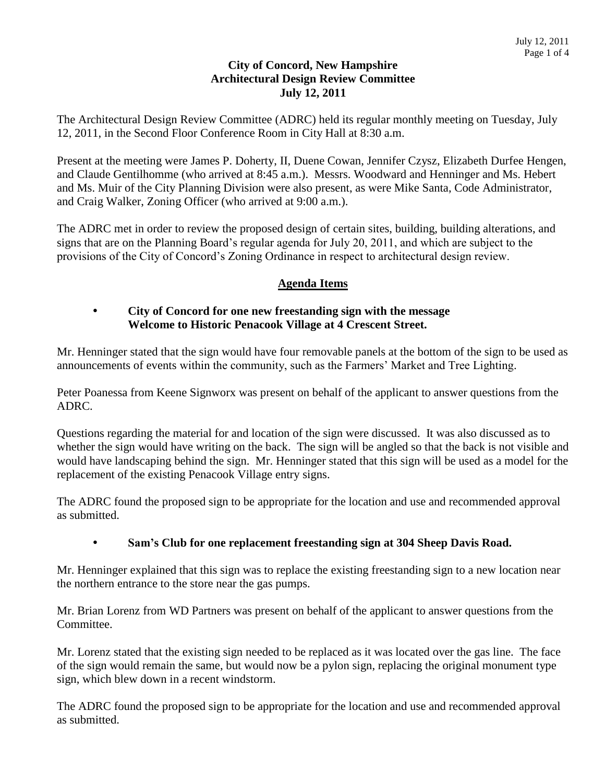### **City of Concord, New Hampshire Architectural Design Review Committee July 12, 2011**

The Architectural Design Review Committee (ADRC) held its regular monthly meeting on Tuesday, July 12, 2011, in the Second Floor Conference Room in City Hall at 8:30 a.m.

Present at the meeting were James P. Doherty, II, Duene Cowan, Jennifer Czysz, Elizabeth Durfee Hengen, and Claude Gentilhomme (who arrived at 8:45 a.m.). Messrs. Woodward and Henninger and Ms. Hebert and Ms. Muir of the City Planning Division were also present, as were Mike Santa, Code Administrator, and Craig Walker, Zoning Officer (who arrived at 9:00 a.m.).

The ADRC met in order to review the proposed design of certain sites, building, building alterations, and signs that are on the Planning Board's regular agenda for July 20, 2011, and which are subject to the provisions of the City of Concord's Zoning Ordinance in respect to architectural design review.

# **Agenda Items**

#### **City of Concord for one new freestanding sign with the message Welcome to Historic Penacook Village at 4 Crescent Street.**

Mr. Henninger stated that the sign would have four removable panels at the bottom of the sign to be used as announcements of events within the community, such as the Farmers' Market and Tree Lighting.

Peter Poanessa from Keene Signworx was present on behalf of the applicant to answer questions from the ADRC.

Questions regarding the material for and location of the sign were discussed. It was also discussed as to whether the sign would have writing on the back. The sign will be angled so that the back is not visible and would have landscaping behind the sign. Mr. Henninger stated that this sign will be used as a model for the replacement of the existing Penacook Village entry signs.

The ADRC found the proposed sign to be appropriate for the location and use and recommended approval as submitted.

### **Sam's Club for one replacement freestanding sign at 304 Sheep Davis Road.**

Mr. Henninger explained that this sign was to replace the existing freestanding sign to a new location near the northern entrance to the store near the gas pumps.

Mr. Brian Lorenz from WD Partners was present on behalf of the applicant to answer questions from the Committee.

Mr. Lorenz stated that the existing sign needed to be replaced as it was located over the gas line. The face of the sign would remain the same, but would now be a pylon sign, replacing the original monument type sign, which blew down in a recent windstorm.

The ADRC found the proposed sign to be appropriate for the location and use and recommended approval as submitted.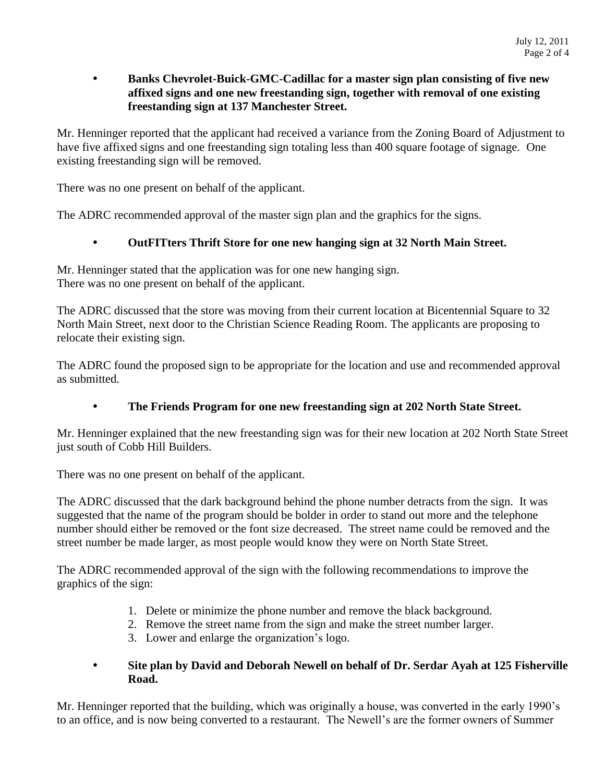### **Banks Chevrolet-Buick-GMC-Cadillac for a master sign plan consisting of five new affixed signs and one new freestanding sign, together with removal of one existing freestanding sign at 137 Manchester Street.**

Mr. Henninger reported that the applicant had received a variance from the Zoning Board of Adjustment to have five affixed signs and one freestanding sign totaling less than 400 square footage of signage. One existing freestanding sign will be removed.

There was no one present on behalf of the applicant.

The ADRC recommended approval of the master sign plan and the graphics for the signs.

### **OutFITters Thrift Store for one new hanging sign at 32 North Main Street.**

Mr. Henninger stated that the application was for one new hanging sign. There was no one present on behalf of the applicant.

The ADRC discussed that the store was moving from their current location at Bicentennial Square to 32 North Main Street, next door to the Christian Science Reading Room. The applicants are proposing to relocate their existing sign.

The ADRC found the proposed sign to be appropriate for the location and use and recommended approval as submitted.

### **The Friends Program for one new freestanding sign at 202 North State Street.**

Mr. Henninger explained that the new freestanding sign was for their new location at 202 North State Street just south of Cobb Hill Builders.

There was no one present on behalf of the applicant.

The ADRC discussed that the dark background behind the phone number detracts from the sign. It was suggested that the name of the program should be bolder in order to stand out more and the telephone number should either be removed or the font size decreased. The street name could be removed and the street number be made larger, as most people would know they were on North State Street.

The ADRC recommended approval of the sign with the following recommendations to improve the graphics of the sign:

- 1. Delete or minimize the phone number and remove the black background.
- 2. Remove the street name from the sign and make the street number larger.
- 3. Lower and enlarge the organization's logo.

#### **Site plan by David and Deborah Newell on behalf of Dr. Serdar Ayah at 125 Fisherville Road.**

Mr. Henninger reported that the building, which was originally a house, was converted in the early 1990's to an office, and is now being converted to a restaurant. The Newell's are the former owners of Summer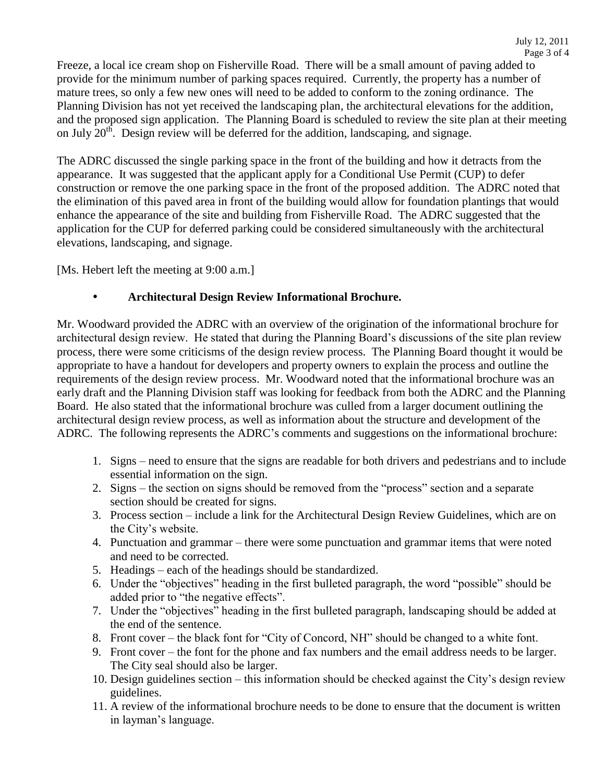Freeze, a local ice cream shop on Fisherville Road. There will be a small amount of paving added to provide for the minimum number of parking spaces required. Currently, the property has a number of mature trees, so only a few new ones will need to be added to conform to the zoning ordinance. The Planning Division has not yet received the landscaping plan, the architectural elevations for the addition, and the proposed sign application. The Planning Board is scheduled to review the site plan at their meeting on July  $20<sup>th</sup>$ . Design review will be deferred for the addition, landscaping, and signage.

The ADRC discussed the single parking space in the front of the building and how it detracts from the appearance. It was suggested that the applicant apply for a Conditional Use Permit (CUP) to defer construction or remove the one parking space in the front of the proposed addition. The ADRC noted that the elimination of this paved area in front of the building would allow for foundation plantings that would enhance the appearance of the site and building from Fisherville Road. The ADRC suggested that the application for the CUP for deferred parking could be considered simultaneously with the architectural elevations, landscaping, and signage.

[Ms. Hebert left the meeting at 9:00 a.m.]

#### **Architectural Design Review Informational Brochure.**

Mr. Woodward provided the ADRC with an overview of the origination of the informational brochure for architectural design review. He stated that during the Planning Board's discussions of the site plan review process, there were some criticisms of the design review process. The Planning Board thought it would be appropriate to have a handout for developers and property owners to explain the process and outline the requirements of the design review process. Mr. Woodward noted that the informational brochure was an early draft and the Planning Division staff was looking for feedback from both the ADRC and the Planning Board. He also stated that the informational brochure was culled from a larger document outlining the architectural design review process, as well as information about the structure and development of the ADRC. The following represents the ADRC's comments and suggestions on the informational brochure:

- 1. Signs need to ensure that the signs are readable for both drivers and pedestrians and to include essential information on the sign.
- 2. Signs the section on signs should be removed from the "process" section and a separate section should be created for signs.
- 3. Process section include a link for the Architectural Design Review Guidelines, which are on the City's website.
- 4. Punctuation and grammar there were some punctuation and grammar items that were noted and need to be corrected.
- 5. Headings each of the headings should be standardized.
- 6. Under the "objectives" heading in the first bulleted paragraph, the word "possible" should be added prior to "the negative effects".
- 7. Under the "objectives" heading in the first bulleted paragraph, landscaping should be added at the end of the sentence.
- 8. Front cover the black font for "City of Concord, NH" should be changed to a white font.
- 9. Front cover the font for the phone and fax numbers and the email address needs to be larger. The City seal should also be larger.
- 10. Design guidelines section this information should be checked against the City's design review guidelines.
- 11. A review of the informational brochure needs to be done to ensure that the document is written in layman's language.